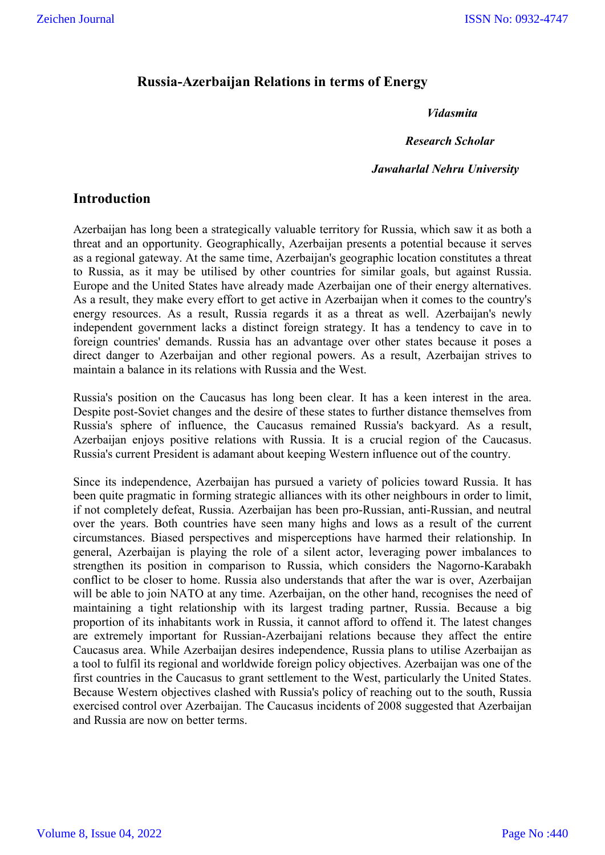### **Russia-Azerbaijan Relations in terms of Energy**

### *Vidasmita*

 *Research Scholar*

#### *Jawaharlal Nehru University*

### **Introduction**

Azerbaijan has long been a strategically valuable territory for Russia, which saw it as both a threat and an opportunity. Geographically, Azerbaijan presents a potential because it serves as a regional gateway. At the same time, Azerbaijan's geographic location constitutes a threat to Russia, as it may be utilised by other countries for similar goals, but against Russia. Europe and the United States have already made Azerbaijan one of their energy alternatives. As a result, they make every effort to get active in Azerbaijan when it comes to the country's energy resources. As a result, Russia regards it as a threat as well. Azerbaijan's newly independent government lacks a distinct foreign strategy. It has a tendency to cave in to foreign countries' demands. Russia has an advantage over other states because it poses a direct danger to Azerbaijan and other regional powers. As a result, Azerbaijan strives to maintain a balance in its relations with Russia and the West.

Russia's position on the Caucasus has long been clear. It has a keen interest in the area. Despite post-Soviet changes and the desire of these states to further distance themselves from Russia's sphere of influence, the Caucasus remained Russia's backyard. As a result, Azerbaijan enjoys positive relations with Russia. It is a crucial region of the Caucasus. Russia's current President is adamant about keeping Western influence out of the country.

Since its independence, Azerbaijan has pursued a variety of policies toward Russia. It has been quite pragmatic in forming strategic alliances with its other neighbours in order to limit, if not completely defeat, Russia. Azerbaijan has been pro-Russian, anti-Russian, and neutral over the years. Both countries have seen many highs and lows as a result of the current circumstances. Biased perspectives and misperceptions have harmed their relationship. In general, Azerbaijan is playing the role of a silent actor, leveraging power imbalances to strengthen its position in comparison to Russia, which considers the Nagorno-Karabakh conflict to be closer to home. Russia also understands that after the war is over, Azerbaijan will be able to join NATO at any time. Azerbaijan, on the other hand, recognises the need of maintaining a tight relationship with its largest trading partner, Russia. Because a big proportion of its inhabitants work in Russia, it cannot afford to offend it. The latest changes are extremely important for Russian-Azerbaijani relations because they affect the entire Caucasus area. While Azerbaijan desires independence, Russia plans to utilise Azerbaijan as a tool to fulfil its regional and worldwide foreign policy objectives. Azerbaijan was one of the first countries in the Caucasus to grant settlement to the West, particularly the United States. Because Western objectives clashed with Russia's policy of reaching out to the south, Russia exercised control over Azerbaijan. The Caucasus incidents of 2008 suggested that Azerbaijan and Russia are now on better terms.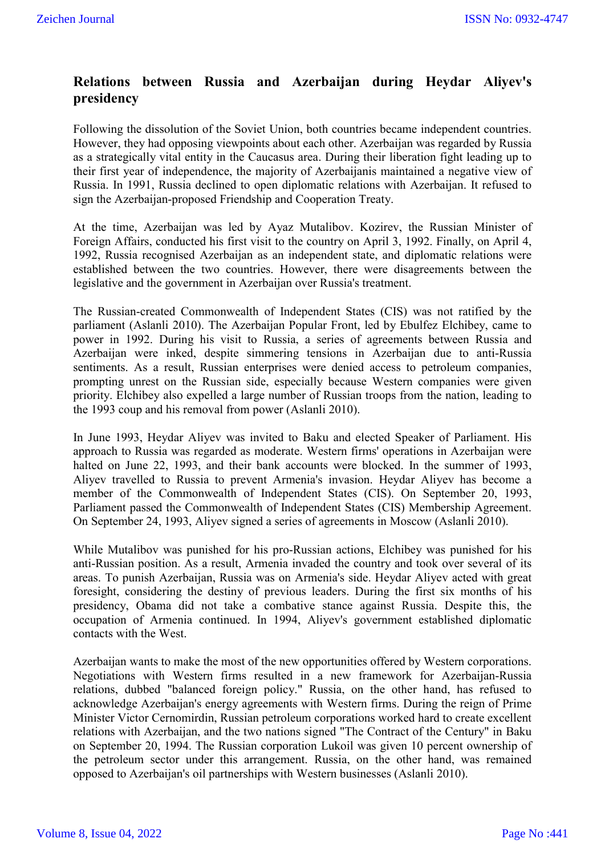# **Relations between Russia and Azerbaijan during Heydar Aliyev's presidency**

Following the dissolution of the Soviet Union, both countries became independent countries. However, they had opposing viewpoints about each other. Azerbaijan was regarded by Russia as a strategically vital entity in the Caucasus area. During their liberation fight leading up to their first year of independence, the majority of Azerbaijanis maintained a negative view of Russia. In 1991, Russia declined to open diplomatic relations with Azerbaijan. It refused to sign the Azerbaijan-proposed Friendship and Cooperation Treaty.

At the time, Azerbaijan was led by Ayaz Mutalibov. Kozirev, the Russian Minister of Foreign Affairs, conducted his first visit to the country on April 3, 1992. Finally, on April 4, 1992, Russia recognised Azerbaijan as an independent state, and diplomatic relations were established between the two countries. However, there were disagreements between the legislative and the government in Azerbaijan over Russia's treatment.

The Russian-created Commonwealth of Independent States (CIS) was not ratified by the parliament (Aslanli 2010). The Azerbaijan Popular Front, led by Ebulfez Elchibey, came to power in 1992. During his visit to Russia, a series of agreements between Russia and Azerbaijan were inked, despite simmering tensions in Azerbaijan due to anti-Russia sentiments. As a result, Russian enterprises were denied access to petroleum companies, prompting unrest on the Russian side, especially because Western companies were given priority. Elchibey also expelled a large number of Russian troops from the nation, leading to the 1993 coup and his removal from power (Aslanli 2010).

In June 1993, Heydar Aliyev was invited to Baku and elected Speaker of Parliament. His approach to Russia was regarded as moderate. Western firms' operations in Azerbaijan were halted on June 22, 1993, and their bank accounts were blocked. In the summer of 1993, Aliyev travelled to Russia to prevent Armenia's invasion. Heydar Aliyev has become a member of the Commonwealth of Independent States (CIS). On September 20, 1993, Parliament passed the Commonwealth of Independent States (CIS) Membership Agreement. On September 24, 1993, Aliyev signed a series of agreements in Moscow (Aslanli 2010).

While Mutalibov was punished for his pro-Russian actions, Elchibey was punished for his anti-Russian position. As a result, Armenia invaded the country and took over several of its areas. To punish Azerbaijan, Russia was on Armenia's side. Heydar Aliyev acted with great foresight, considering the destiny of previous leaders. During the first six months of his presidency, Obama did not take a combative stance against Russia. Despite this, the occupation of Armenia continued. In 1994, Aliyev's government established diplomatic contacts with the West.

Azerbaijan wants to make the most of the new opportunities offered by Western corporations. Negotiations with Western firms resulted in a new framework for Azerbaijan-Russia relations, dubbed "balanced foreign policy." Russia, on the other hand, has refused to acknowledge Azerbaijan's energy agreements with Western firms. During the reign of Prime Minister Victor Cernomirdin, Russian petroleum corporations worked hard to create excellent relations with Azerbaijan, and the two nations signed "The Contract of the Century" in Baku on September 20, 1994. The Russian corporation Lukoil was given 10 percent ownership of the petroleum sector under this arrangement. Russia, on the other hand, was remained opposed to Azerbaijan's oil partnerships with Western businesses (Aslanli 2010).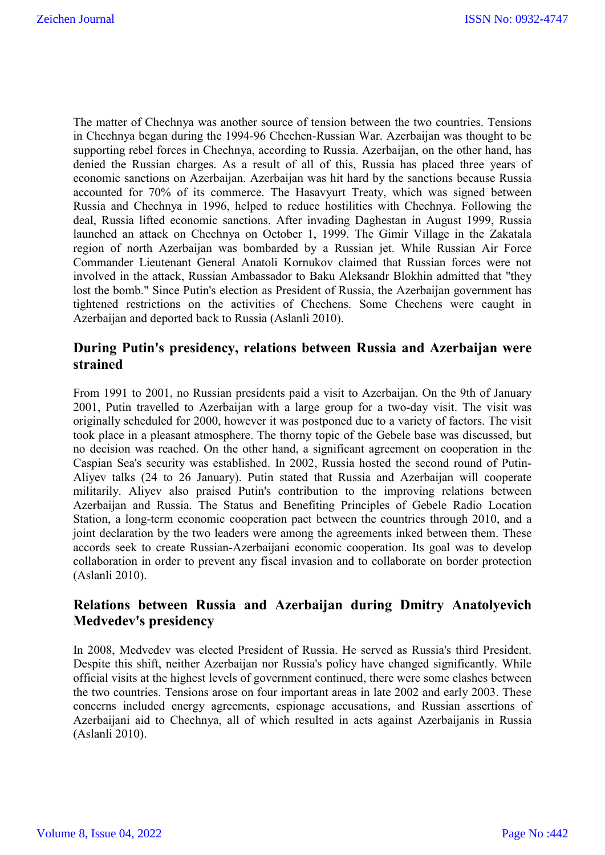The matter of Chechnya was another source of tension between the two countries. Tensions in Chechnya began during the 1994-96 Chechen-Russian War. Azerbaijan was thought to be supporting rebel forces in Chechnya, according to Russia. Azerbaijan, on the other hand, has denied the Russian charges. As a result of all of this, Russia has placed three years of economic sanctions on Azerbaijan. Azerbaijan was hit hard by the sanctions because Russia accounted for 70% of its commerce. The Hasavyurt Treaty, which was signed between Russia and Chechnya in 1996, helped to reduce hostilities with Chechnya. Following the deal, Russia lifted economic sanctions. After invading Daghestan in August 1999, Russia launched an attack on Chechnya on October 1, 1999. The Gimir Village in the Zakatala region of north Azerbaijan was bombarded by a Russian jet. While Russian Air Force Commander Lieutenant General Anatoli Kornukov claimed that Russian forces were not involved in the attack, Russian Ambassador to Baku Aleksandr Blokhin admitted that "they lost the bomb." Since Putin's election as President of Russia, the Azerbaijan government has tightened restrictions on the activities of Chechens. Some Chechens were caught in Azerbaijan and deported back to Russia (Aslanli 2010).

## **During Putin's presidency, relations between Russia and Azerbaijan were strained**

From 1991 to 2001, no Russian presidents paid a visit to Azerbaijan. On the 9th of January 2001, Putin travelled to Azerbaijan with a large group for a two-day visit. The visit was originally scheduled for 2000, however it was postponed due to a variety of factors. The visit took place in a pleasant atmosphere. The thorny topic of the Gebele base was discussed, but no decision was reached. On the other hand, a significant agreement on cooperation in the Caspian Sea's security was established. In 2002, Russia hosted the second round of Putin-Aliyev talks (24 to 26 January). Putin stated that Russia and Azerbaijan will cooperate militarily. Aliyev also praised Putin's contribution to the improving relations between Azerbaijan and Russia. The Status and Benefiting Principles of Gebele Radio Location Station, a long-term economic cooperation pact between the countries through 2010, and a joint declaration by the two leaders were among the agreements inked between them. These accords seek to create Russian-Azerbaijani economic cooperation. Its goal was to develop collaboration in order to prevent any fiscal invasion and to collaborate on border protection (Aslanli 2010).

## **Relations between Russia and Azerbaijan during Dmitry Anatolyevich Medvedev's presidency**

In 2008, Medvedev was elected President of Russia. He served as Russia's third President. Despite this shift, neither Azerbaijan nor Russia's policy have changed significantly. While official visits at the highest levels of government continued, there were some clashes between the two countries. Tensions arose on four important areas in late 2002 and early 2003. These concerns included energy agreements, espionage accusations, and Russian assertions of Azerbaijani aid to Chechnya, all of which resulted in acts against Azerbaijanis in Russia (Aslanli 2010).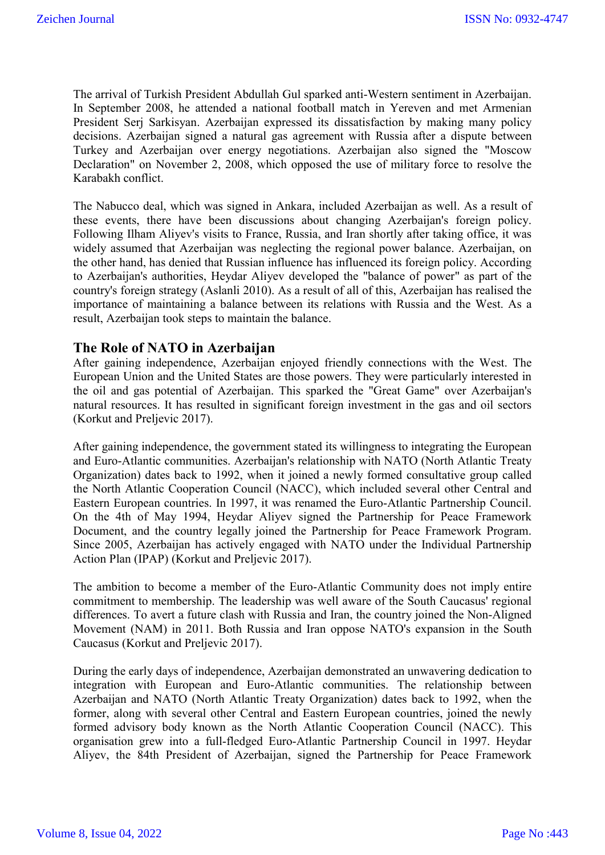The arrival of Turkish President Abdullah Gul sparked anti-Western sentiment in Azerbaijan. In September 2008, he attended a national football match in Yereven and met Armenian President Serj Sarkisyan. Azerbaijan expressed its dissatisfaction by making many policy decisions. Azerbaijan signed a natural gas agreement with Russia after a dispute between Turkey and Azerbaijan over energy negotiations. Azerbaijan also signed the "Moscow Declaration" on November 2, 2008, which opposed the use of military force to resolve the Karabakh conflict.

The Nabucco deal, which was signed in Ankara, included Azerbaijan as well. As a result of these events, there have been discussions about changing Azerbaijan's foreign policy. Following Ilham Aliyev's visits to France, Russia, and Iran shortly after taking office, it was widely assumed that Azerbaijan was neglecting the regional power balance. Azerbaijan, on the other hand, has denied that Russian influence has influenced its foreign policy. According to Azerbaijan's authorities, Heydar Aliyev developed the "balance of power" as part of the country's foreign strategy (Aslanli 2010). As a result of all of this, Azerbaijan has realised the importance of maintaining a balance between its relations with Russia and the West. As a result, Azerbaijan took steps to maintain the balance.

### **The Role of NATO in Azerbaijan**

After gaining independence, Azerbaijan enjoyed friendly connections with the West. The European Union and the United States are those powers. They were particularly interested in the oil and gas potential of Azerbaijan. This sparked the "Great Game" over Azerbaijan's natural resources. It has resulted in significant foreign investment in the gas and oil sectors (Korkut and Preljevic 2017).

After gaining independence, the government stated its willingness to integrating the European and Euro-Atlantic communities. Azerbaijan's relationship with NATO (North Atlantic Treaty Organization) dates back to 1992, when it joined a newly formed consultative group called the North Atlantic Cooperation Council (NACC), which included several other Central and Eastern European countries. In 1997, it was renamed the Euro-Atlantic Partnership Council. On the 4th of May 1994, Heydar Aliyev signed the Partnership for Peace Framework Document, and the country legally joined the Partnership for Peace Framework Program. Since 2005, Azerbaijan has actively engaged with NATO under the Individual Partnership Action Plan (IPAP) (Korkut and Preljevic 2017).

The ambition to become a member of the Euro-Atlantic Community does not imply entire commitment to membership. The leadership was well aware of the South Caucasus' regional differences. To avert a future clash with Russia and Iran, the country joined the Non-Aligned Movement (NAM) in 2011. Both Russia and Iran oppose NATO's expansion in the South Caucasus (Korkut and Preljevic 2017).

During the early days of independence, Azerbaijan demonstrated an unwavering dedication to integration with European and Euro-Atlantic communities. The relationship between Azerbaijan and NATO (North Atlantic Treaty Organization) dates back to 1992, when the former, along with several other Central and Eastern European countries, joined the newly formed advisory body known as the North Atlantic Cooperation Council (NACC). This organisation grew into a full-fledged Euro-Atlantic Partnership Council in 1997. Heydar Aliyev, the 84th President of Azerbaijan, signed the Partnership for Peace Framework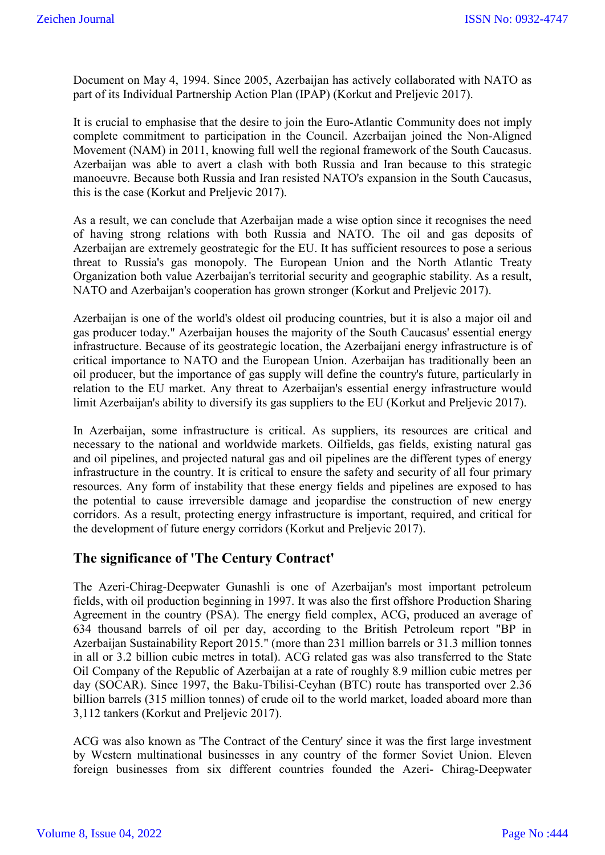Document on May 4, 1994. Since 2005, Azerbaijan has actively collaborated with NATO as part of its Individual Partnership Action Plan (IPAP) (Korkut and Preljevic 2017).

It is crucial to emphasise that the desire to join the Euro-Atlantic Community does not imply complete commitment to participation in the Council. Azerbaijan joined the Non-Aligned Movement (NAM) in 2011, knowing full well the regional framework of the South Caucasus. Azerbaijan was able to avert a clash with both Russia and Iran because to this strategic manoeuvre. Because both Russia and Iran resisted NATO's expansion in the South Caucasus, this is the case (Korkut and Preljevic 2017).

As a result, we can conclude that Azerbaijan made a wise option since it recognises the need of having strong relations with both Russia and NATO. The oil and gas deposits of Azerbaijan are extremely geostrategic for the EU. It has sufficient resources to pose a serious threat to Russia's gas monopoly. The European Union and the North Atlantic Treaty Organization both value Azerbaijan's territorial security and geographic stability. As a result, NATO and Azerbaijan's cooperation has grown stronger (Korkut and Preljevic 2017).

Azerbaijan is one of the world's oldest oil producing countries, but it is also a major oil and gas producer today." Azerbaijan houses the majority of the South Caucasus' essential energy infrastructure. Because of its geostrategic location, the Azerbaijani energy infrastructure is of critical importance to NATO and the European Union. Azerbaijan has traditionally been an oil producer, but the importance of gas supply will define the country's future, particularly in relation to the EU market. Any threat to Azerbaijan's essential energy infrastructure would limit Azerbaijan's ability to diversify its gas suppliers to the EU (Korkut and Preljevic 2017).

In Azerbaijan, some infrastructure is critical. As suppliers, its resources are critical and necessary to the national and worldwide markets. Oilfields, gas fields, existing natural gas and oil pipelines, and projected natural gas and oil pipelines are the different types of energy infrastructure in the country. It is critical to ensure the safety and security of all four primary resources. Any form of instability that these energy fields and pipelines are exposed to has the potential to cause irreversible damage and jeopardise the construction of new energy corridors. As a result, protecting energy infrastructure is important, required, and critical for the development of future energy corridors (Korkut and Preljevic 2017).

### **The significance of 'The Century Contract'**

The Azeri-Chirag-Deepwater Gunashli is one of Azerbaijan's most important petroleum fields, with oil production beginning in 1997. It was also the first offshore Production Sharing Agreement in the country (PSA). The energy field complex, ACG, produced an average of 634 thousand barrels of oil per day, according to the British Petroleum report "BP in Azerbaijan Sustainability Report 2015." (more than 231 million barrels or 31.3 million tonnes in all or 3.2 billion cubic metres in total). ACG related gas was also transferred to the State Oil Company of the Republic of Azerbaijan at a rate of roughly 8.9 million cubic metres per day (SOCAR). Since 1997, the Baku-Tbilisi-Ceyhan (BTC) route has transported over 2.36 billion barrels (315 million tonnes) of crude oil to the world market, loaded aboard more than 3,112 tankers (Korkut and Preljevic 2017).

ACG was also known as 'The Contract of the Century' since it was the first large investment by Western multinational businesses in any country of the former Soviet Union. Eleven foreign businesses from six different countries founded the Azeri- Chirag-Deepwater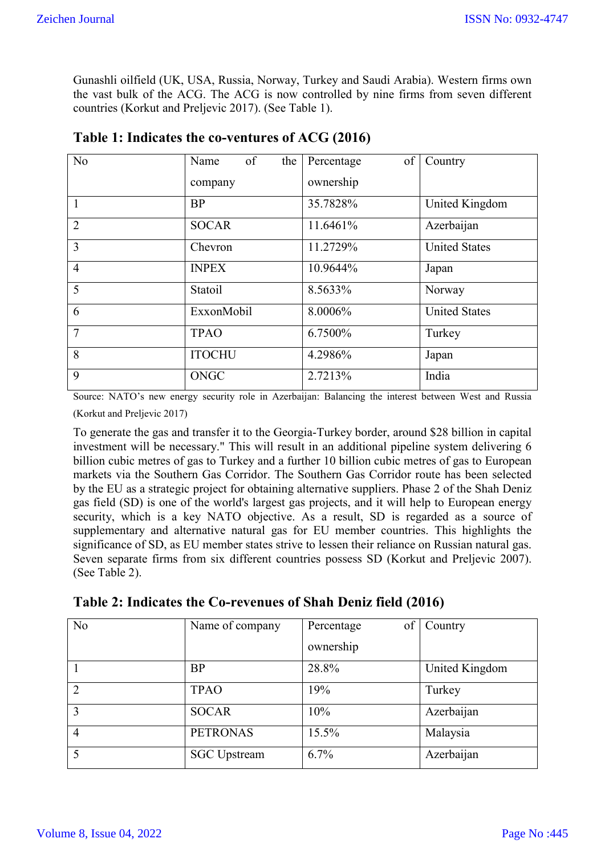Gunashli oilfield (UK, USA, Russia, Norway, Turkey and Saudi Arabia). Western firms own the vast bulk of the ACG. The ACG is now controlled by nine firms from seven different countries (Korkut and Preljevic 2017). (See Table 1).

| No             | of<br>Name<br>the | of<br>Percentage | Country              |  |
|----------------|-------------------|------------------|----------------------|--|
|                | company           | ownership        |                      |  |
| $\mathbf{1}$   | <b>BP</b>         | 35.7828%         | United Kingdom       |  |
| $\overline{2}$ | <b>SOCAR</b>      | 11.6461%         | Azerbaijan           |  |
| 3              | Chevron           | 11.2729%         | <b>United States</b> |  |
| $\overline{4}$ | <b>INPEX</b>      | 10.9644%         | Japan                |  |
| 5              | Statoil           | 8.5633%          | Norway               |  |
| 6              | ExxonMobil        | 8.0006%          | <b>United States</b> |  |
| $\overline{7}$ | <b>TPAO</b>       | 6.7500%          | Turkey               |  |
| 8              | <b>ITOCHU</b>     | 4.2986%          | Japan                |  |
| 9              | <b>ONGC</b>       | 2.7213%          | India                |  |

|  | Table 1: Indicates the co-ventures of ACG (2016) |  |
|--|--------------------------------------------------|--|
|--|--------------------------------------------------|--|

Source: NATO's new energy security role in Azerbaijan: Balancing the interest between West and Russia (Korkut and Preljevic 2017)

To generate the gas and transfer it to the Georgia-Turkey border, around \$28 billion in capital investment will be necessary." This will result in an additional pipeline system delivering 6 billion cubic metres of gas to Turkey and a further 10 billion cubic metres of gas to European markets via the Southern Gas Corridor. The Southern Gas Corridor route has been selected by the EU as a strategic project for obtaining alternative suppliers. Phase 2 of the Shah Deniz gas field (SD) is one of the world's largest gas projects, and it will help to European energy security, which is a key NATO objective. As a result, SD is regarded as a source of supplementary and alternative natural gas for EU member countries. This highlights the significance of SD, as EU member states strive to lessen their reliance on Russian natural gas. Seven separate firms from six different countries possess SD (Korkut and Preljevic 2007). (See Table 2).

| No             | Name of company     | of<br>Percentage | Country        |
|----------------|---------------------|------------------|----------------|
|                |                     | ownership        |                |
|                | <b>BP</b>           | 28.8%            | United Kingdom |
| $\overline{2}$ | <b>TPAO</b>         | 19%              | Turkey         |
| 3              | <b>SOCAR</b>        | 10%              | Azerbaijan     |
| 4              | <b>PETRONAS</b>     | 15.5%            | Malaysia       |
| 5              | <b>SGC</b> Upstream | 6.7%             | Azerbaijan     |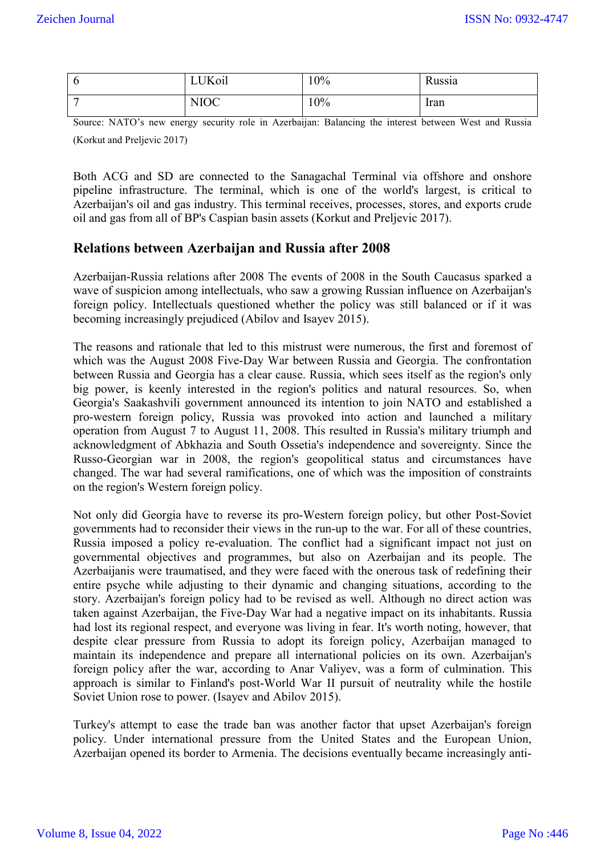| ◡ | <b>UKoil</b> | 10% | Russia |
|---|--------------|-----|--------|
| - | <b>NIOC</b>  | 10% | Iran   |

Source: NATO's new energy security role in Azerbaijan: Balancing the interest between West and Russia (Korkut and Preljevic 2017)

Both ACG and SD are connected to the Sanagachal Terminal via offshore and onshore pipeline infrastructure. The terminal, which is one of the world's largest, is critical to Azerbaijan's oil and gas industry. This terminal receives, processes, stores, and exports crude oil and gas from all of BP's Caspian basin assets (Korkut and Preljevic 2017).

### **Relations between Azerbaijan and Russia after 2008**

Azerbaijan-Russia relations after 2008 The events of 2008 in the South Caucasus sparked a wave of suspicion among intellectuals, who saw a growing Russian influence on Azerbaijan's foreign policy. Intellectuals questioned whether the policy was still balanced or if it was becoming increasingly prejudiced (Abilov and Isayev 2015).

The reasons and rationale that led to this mistrust were numerous, the first and foremost of which was the August 2008 Five-Day War between Russia and Georgia. The confrontation between Russia and Georgia has a clear cause. Russia, which sees itself as the region's only big power, is keenly interested in the region's politics and natural resources. So, when Georgia's Saakashvili government announced its intention to join NATO and established a pro-western foreign policy, Russia was provoked into action and launched a military operation from August 7 to August 11, 2008. This resulted in Russia's military triumph and acknowledgment of Abkhazia and South Ossetia's independence and sovereignty. Since the Russo-Georgian war in 2008, the region's geopolitical status and circumstances have changed. The war had several ramifications, one of which was the imposition of constraints on the region's Western foreign policy.

Not only did Georgia have to reverse its pro-Western foreign policy, but other Post-Soviet governments had to reconsider their views in the run-up to the war. For all of these countries, Russia imposed a policy re-evaluation. The conflict had a significant impact not just on governmental objectives and programmes, but also on Azerbaijan and its people. The Azerbaijanis were traumatised, and they were faced with the onerous task of redefining their entire psyche while adjusting to their dynamic and changing situations, according to the story. Azerbaijan's foreign policy had to be revised as well. Although no direct action was taken against Azerbaijan, the Five-Day War had a negative impact on its inhabitants. Russia had lost its regional respect, and everyone was living in fear. It's worth noting, however, that despite clear pressure from Russia to adopt its foreign policy, Azerbaijan managed to maintain its independence and prepare all international policies on its own. Azerbaijan's foreign policy after the war, according to Anar Valiyev, was a form of culmination. This approach is similar to Finland's post-World War II pursuit of neutrality while the hostile Soviet Union rose to power. (Isayev and Abilov 2015).

Turkey's attempt to ease the trade ban was another factor that upset Azerbaijan's foreign policy. Under international pressure from the United States and the European Union, Azerbaijan opened its border to Armenia. The decisions eventually became increasingly anti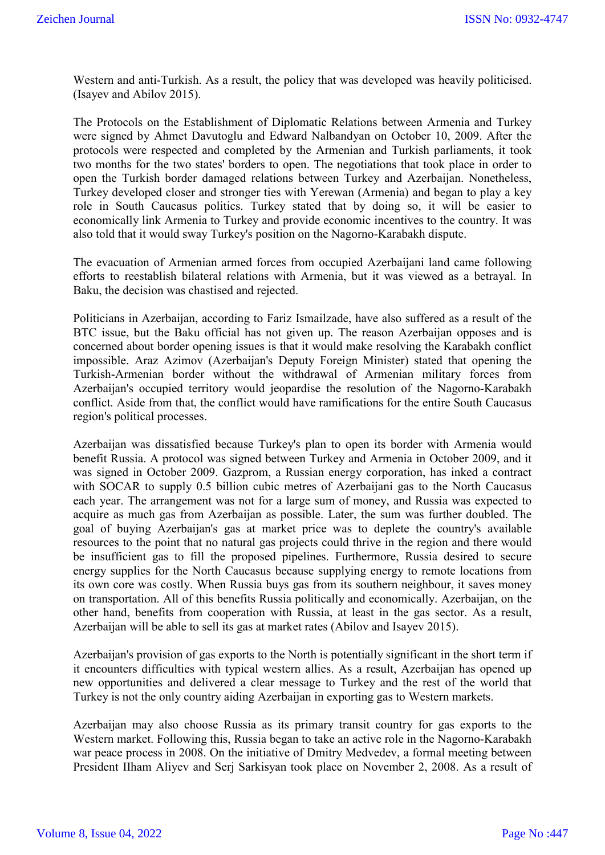Western and anti-Turkish. As a result, the policy that was developed was heavily politicised. (Isayev and Abilov 2015).

The Protocols on the Establishment of Diplomatic Relations between Armenia and Turkey were signed by Ahmet Davutoglu and Edward Nalbandyan on October 10, 2009. After the protocols were respected and completed by the Armenian and Turkish parliaments, it took two months for the two states' borders to open. The negotiations that took place in order to open the Turkish border damaged relations between Turkey and Azerbaijan. Nonetheless, Turkey developed closer and stronger ties with Yerewan (Armenia) and began to play a key role in South Caucasus politics. Turkey stated that by doing so, it will be easier to economically link Armenia to Turkey and provide economic incentives to the country. It was also told that it would sway Turkey's position on the Nagorno-Karabakh dispute.

The evacuation of Armenian armed forces from occupied Azerbaijani land came following efforts to reestablish bilateral relations with Armenia, but it was viewed as a betrayal. In Baku, the decision was chastised and rejected.

Politicians in Azerbaijan, according to Fariz Ismailzade, have also suffered as a result of the BTC issue, but the Baku official has not given up. The reason Azerbaijan opposes and is concerned about border opening issues is that it would make resolving the Karabakh conflict impossible. Araz Azimov (Azerbaijan's Deputy Foreign Minister) stated that opening the Turkish-Armenian border without the withdrawal of Armenian military forces from Azerbaijan's occupied territory would jeopardise the resolution of the Nagorno-Karabakh conflict. Aside from that, the conflict would have ramifications for the entire South Caucasus region's political processes.

Azerbaijan was dissatisfied because Turkey's plan to open its border with Armenia would benefit Russia. A protocol was signed between Turkey and Armenia in October 2009, and it was signed in October 2009. Gazprom, a Russian energy corporation, has inked a contract with SOCAR to supply 0.5 billion cubic metres of Azerbaijani gas to the North Caucasus each year. The arrangement was not for a large sum of money, and Russia was expected to acquire as much gas from Azerbaijan as possible. Later, the sum was further doubled. The goal of buying Azerbaijan's gas at market price was to deplete the country's available resources to the point that no natural gas projects could thrive in the region and there would be insufficient gas to fill the proposed pipelines. Furthermore, Russia desired to secure energy supplies for the North Caucasus because supplying energy to remote locations from its own core was costly. When Russia buys gas from its southern neighbour, it saves money on transportation. All of this benefits Russia politically and economically. Azerbaijan, on the other hand, benefits from cooperation with Russia, at least in the gas sector. As a result, Azerbaijan will be able to sell its gas at market rates (Abilov and Isayev 2015).

Azerbaijan's provision of gas exports to the North is potentially significant in the short term if it encounters difficulties with typical western allies. As a result, Azerbaijan has opened up new opportunities and delivered a clear message to Turkey and the rest of the world that Turkey is not the only country aiding Azerbaijan in exporting gas to Western markets.

Azerbaijan may also choose Russia as its primary transit country for gas exports to the Western market. Following this, Russia began to take an active role in the Nagorno-Karabakh war peace process in 2008. On the initiative of Dmitry Medvedev, a formal meeting between President IIham Aliyev and Serj Sarkisyan took place on November 2, 2008. As a result of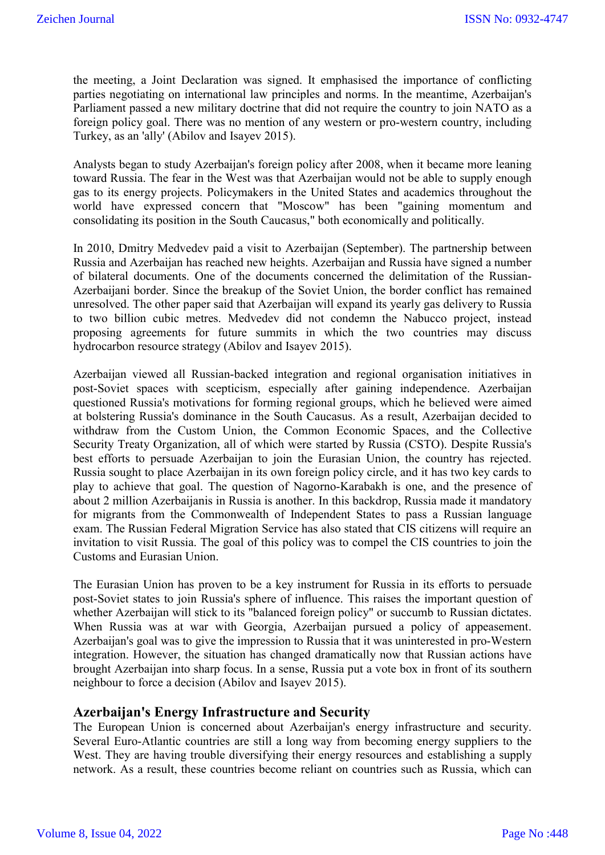the meeting, a Joint Declaration was signed. It emphasised the importance of conflicting parties negotiating on international law principles and norms. In the meantime, Azerbaijan's Parliament passed a new military doctrine that did not require the country to join NATO as a foreign policy goal. There was no mention of any western or pro-western country, including Turkey, as an 'ally' (Abilov and Isayev 2015).

Analysts began to study Azerbaijan's foreign policy after 2008, when it became more leaning toward Russia. The fear in the West was that Azerbaijan would not be able to supply enough gas to its energy projects. Policymakers in the United States and academics throughout the world have expressed concern that "Moscow" has been "gaining momentum and consolidating its position in the South Caucasus," both economically and politically.

In 2010, Dmitry Medvedev paid a visit to Azerbaijan (September). The partnership between Russia and Azerbaijan has reached new heights. Azerbaijan and Russia have signed a number of bilateral documents. One of the documents concerned the delimitation of the Russian-Azerbaijani border. Since the breakup of the Soviet Union, the border conflict has remained unresolved. The other paper said that Azerbaijan will expand its yearly gas delivery to Russia to two billion cubic metres. Medvedev did not condemn the Nabucco project, instead proposing agreements for future summits in which the two countries may discuss hydrocarbon resource strategy (Abilov and Isayev 2015).

Azerbaijan viewed all Russian-backed integration and regional organisation initiatives in post-Soviet spaces with scepticism, especially after gaining independence. Azerbaijan questioned Russia's motivations for forming regional groups, which he believed were aimed at bolstering Russia's dominance in the South Caucasus. As a result, Azerbaijan decided to withdraw from the Custom Union, the Common Economic Spaces, and the Collective Security Treaty Organization, all of which were started by Russia (CSTO). Despite Russia's best efforts to persuade Azerbaijan to join the Eurasian Union, the country has rejected. Russia sought to place Azerbaijan in its own foreign policy circle, and it has two key cards to play to achieve that goal. The question of Nagorno-Karabakh is one, and the presence of about 2 million Azerbaijanis in Russia is another. In this backdrop, Russia made it mandatory for migrants from the Commonwealth of Independent States to pass a Russian language exam. The Russian Federal Migration Service has also stated that CIS citizens will require an invitation to visit Russia. The goal of this policy was to compel the CIS countries to join the Customs and Eurasian Union.

The Eurasian Union has proven to be a key instrument for Russia in its efforts to persuade post-Soviet states to join Russia's sphere of influence. This raises the important question of whether Azerbaijan will stick to its "balanced foreign policy" or succumb to Russian dictates. When Russia was at war with Georgia, Azerbaijan pursued a policy of appeasement. Azerbaijan's goal was to give the impression to Russia that it was uninterested in pro-Western integration. However, the situation has changed dramatically now that Russian actions have brought Azerbaijan into sharp focus. In a sense, Russia put a vote box in front of its southern neighbour to force a decision (Abilov and Isayev 2015).

### **Azerbaijan's Energy Infrastructure and Security**

The European Union is concerned about Azerbaijan's energy infrastructure and security. Several Euro-Atlantic countries are still a long way from becoming energy suppliers to the West. They are having trouble diversifying their energy resources and establishing a supply network. As a result, these countries become reliant on countries such as Russia, which can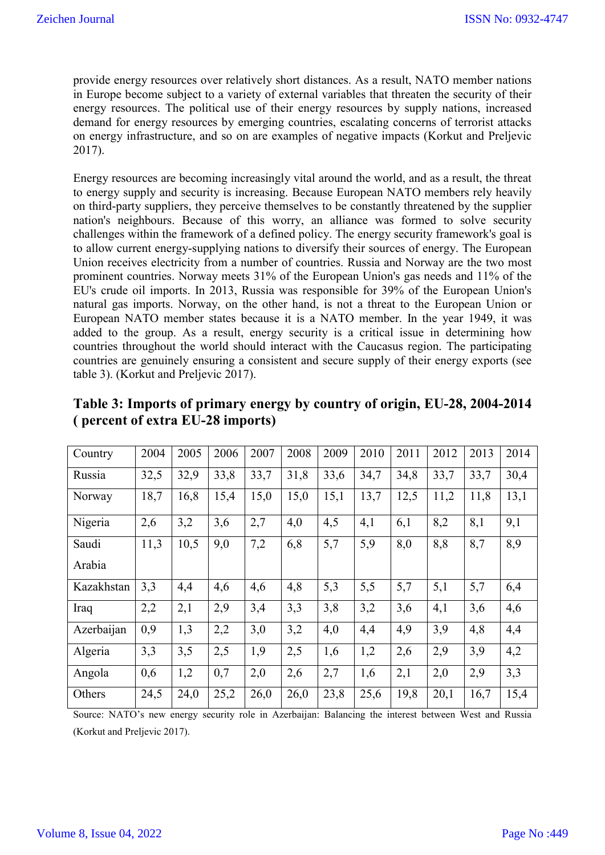provide energy resources over relatively short distances. As a result, NATO member nations in Europe become subject to a variety of external variables that threaten the security of their energy resources. The political use of their energy resources by supply nations, increased demand for energy resources by emerging countries, escalating concerns of terrorist attacks on energy infrastructure, and so on are examples of negative impacts (Korkut and Preljevic 2017).

Energy resources are becoming increasingly vital around the world, and as a result, the threat to energy supply and security is increasing. Because European NATO members rely heavily on third-party suppliers, they perceive themselves to be constantly threatened by the supplier nation's neighbours. Because of this worry, an alliance was formed to solve security challenges within the framework of a defined policy. The energy security framework's goal is to allow current energy-supplying nations to diversify their sources of energy. The European Union receives electricity from a number of countries. Russia and Norway are the two most prominent countries. Norway meets 31% of the European Union's gas needs and 11% of the EU's crude oil imports. In 2013, Russia was responsible for 39% of the European Union's natural gas imports. Norway, on the other hand, is not a threat to the European Union or European NATO member states because it is a NATO member. In the year 1949, it was added to the group. As a result, energy security is a critical issue in determining how countries throughout the world should interact with the Caucasus region. The participating countries are genuinely ensuring a consistent and secure supply of their energy exports (see table 3). (Korkut and Preljevic 2017).

| Country    | 2004 | 2005 | 2006 | 2007 | 2008 | 2009 | 2010 | 2011 | 2012 | 2013 | 2014 |
|------------|------|------|------|------|------|------|------|------|------|------|------|
| Russia     | 32,5 | 32,9 | 33,8 | 33,7 | 31,8 | 33,6 | 34,7 | 34,8 | 33,7 | 33,7 | 30,4 |
| Norway     | 18,7 | 16,8 | 15,4 | 15,0 | 15,0 | 15,1 | 13,7 | 12,5 | 11,2 | 11,8 | 13,1 |
| Nigeria    | 2,6  | 3,2  | 3,6  | 2,7  | 4,0  | 4,5  | 4,1  | 6,1  | 8,2  | 8,1  | 9,1  |
| Saudi      | 11,3 | 10,5 | 9,0  | 7,2  | 6,8  | 5,7  | 5,9  | 8,0  | 8,8  | 8,7  | 8,9  |
| Arabia     |      |      |      |      |      |      |      |      |      |      |      |
| Kazakhstan | 3,3  | 4,4  | 4,6  | 4,6  | 4,8  | 5,3  | 5,5  | 5,7  | 5,1  | 5,7  | 6,4  |
| Iraq       | 2,2  | 2,1  | 2,9  | 3,4  | 3,3  | 3,8  | 3,2  | 3,6  | 4,1  | 3,6  | 4,6  |
| Azerbaijan | 0,9  | 1,3  | 2,2  | 3,0  | 3,2  | 4,0  | 4,4  | 4,9  | 3,9  | 4,8  | 4,4  |
| Algeria    | 3,3  | 3,5  | 2,5  | 1,9  | 2,5  | 1,6  | 1,2  | 2,6  | 2,9  | 3,9  | 4,2  |
| Angola     | 0,6  | 1,2  | 0,7  | 2,0  | 2,6  | 2,7  | 1,6  | 2,1  | 2,0  | 2,9  | 3,3  |
| Others     | 24,5 | 24,0 | 25,2 | 26,0 | 26,0 | 23,8 | 25,6 | 19,8 | 20,1 | 16,7 | 15,4 |

| Table 3: Imports of primary energy by country of origin, EU-28, 2004-2014 |  |
|---------------------------------------------------------------------------|--|
| (percent of extra EU-28 imports)                                          |  |

Source: NATO's new energy security role in Azerbaijan: Balancing the interest between West and Russia (Korkut and Preljevic 2017).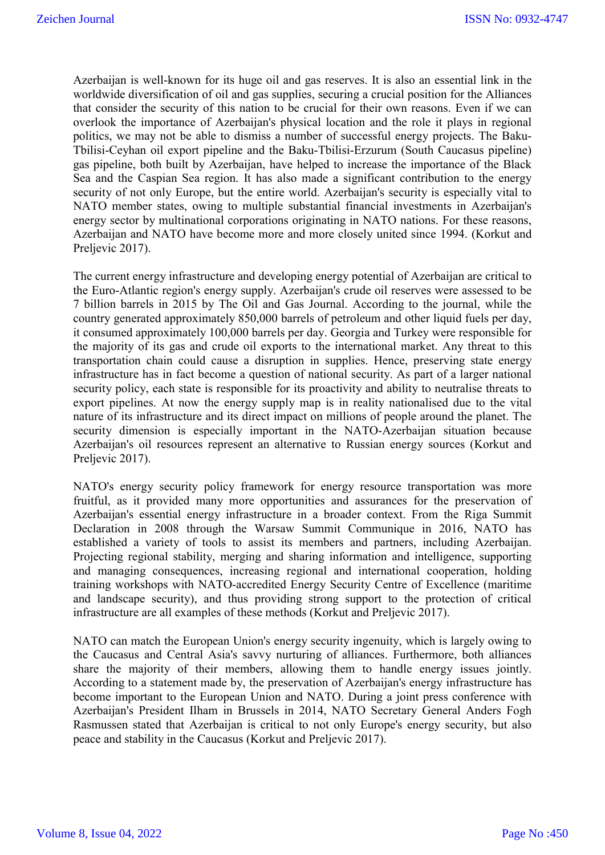Azerbaijan is well-known for its huge oil and gas reserves. It is also an essential link in the worldwide diversification of oil and gas supplies, securing a crucial position for the Alliances that consider the security of this nation to be crucial for their own reasons. Even if we can overlook the importance of Azerbaijan's physical location and the role it plays in regional politics, we may not be able to dismiss a number of successful energy projects. The Baku-Tbilisi-Ceyhan oil export pipeline and the Baku-Tbilisi-Erzurum (South Caucasus pipeline) gas pipeline, both built by Azerbaijan, have helped to increase the importance of the Black Sea and the Caspian Sea region. It has also made a significant contribution to the energy security of not only Europe, but the entire world. Azerbaijan's security is especially vital to NATO member states, owing to multiple substantial financial investments in Azerbaijan's energy sector by multinational corporations originating in NATO nations. For these reasons, Azerbaijan and NATO have become more and more closely united since 1994. (Korkut and Preljevic 2017).

The current energy infrastructure and developing energy potential of Azerbaijan are critical to the Euro-Atlantic region's energy supply. Azerbaijan's crude oil reserves were assessed to be 7 billion barrels in 2015 by The Oil and Gas Journal. According to the journal, while the country generated approximately 850,000 barrels of petroleum and other liquid fuels per day, it consumed approximately 100,000 barrels per day. Georgia and Turkey were responsible for the majority of its gas and crude oil exports to the international market. Any threat to this transportation chain could cause a disruption in supplies. Hence, preserving state energy infrastructure has in fact become a question of national security. As part of a larger national security policy, each state is responsible for its proactivity and ability to neutralise threats to export pipelines. At now the energy supply map is in reality nationalised due to the vital nature of its infrastructure and its direct impact on millions of people around the planet. The security dimension is especially important in the NATO-Azerbaijan situation because Azerbaijan's oil resources represent an alternative to Russian energy sources (Korkut and Preljevic 2017).

NATO's energy security policy framework for energy resource transportation was more fruitful, as it provided many more opportunities and assurances for the preservation of Azerbaijan's essential energy infrastructure in a broader context. From the Riga Summit Declaration in 2008 through the Warsaw Summit Communique in 2016, NATO has established a variety of tools to assist its members and partners, including Azerbaijan. Projecting regional stability, merging and sharing information and intelligence, supporting and managing consequences, increasing regional and international cooperation, holding training workshops with NATO-accredited Energy Security Centre of Excellence (maritime and landscape security), and thus providing strong support to the protection of critical infrastructure are all examples of these methods (Korkut and Preljevic 2017).

NATO can match the European Union's energy security ingenuity, which is largely owing to the Caucasus and Central Asia's savvy nurturing of alliances. Furthermore, both alliances share the majority of their members, allowing them to handle energy issues jointly. According to a statement made by, the preservation of Azerbaijan's energy infrastructure has become important to the European Union and NATO. During a joint press conference with Azerbaijan's President Ilham in Brussels in 2014, NATO Secretary General Anders Fogh Rasmussen stated that Azerbaijan is critical to not only Europe's energy security, but also peace and stability in the Caucasus (Korkut and Preljevic 2017).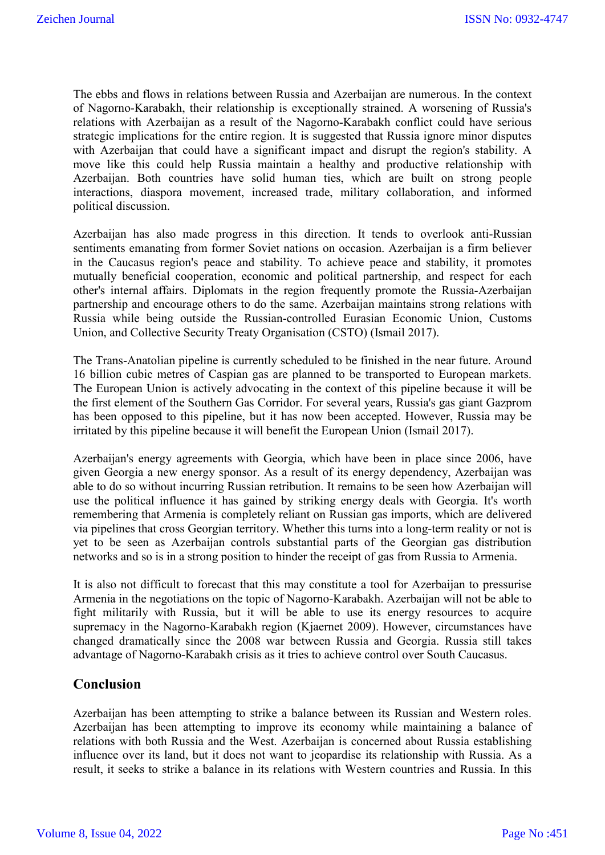The ebbs and flows in relations between Russia and Azerbaijan are numerous. In the context of Nagorno-Karabakh, their relationship is exceptionally strained. A worsening of Russia's relations with Azerbaijan as a result of the Nagorno-Karabakh conflict could have serious strategic implications for the entire region. It is suggested that Russia ignore minor disputes with Azerbaijan that could have a significant impact and disrupt the region's stability. A move like this could help Russia maintain a healthy and productive relationship with Azerbaijan. Both countries have solid human ties, which are built on strong people interactions, diaspora movement, increased trade, military collaboration, and informed political discussion.

Azerbaijan has also made progress in this direction. It tends to overlook anti-Russian sentiments emanating from former Soviet nations on occasion. Azerbaijan is a firm believer in the Caucasus region's peace and stability. To achieve peace and stability, it promotes mutually beneficial cooperation, economic and political partnership, and respect for each other's internal affairs. Diplomats in the region frequently promote the Russia-Azerbaijan partnership and encourage others to do the same. Azerbaijan maintains strong relations with Russia while being outside the Russian-controlled Eurasian Economic Union, Customs Union, and Collective Security Treaty Organisation (CSTO) (Ismail 2017).

The Trans-Anatolian pipeline is currently scheduled to be finished in the near future. Around 16 billion cubic metres of Caspian gas are planned to be transported to European markets. The European Union is actively advocating in the context of this pipeline because it will be the first element of the Southern Gas Corridor. For several years, Russia's gas giant Gazprom has been opposed to this pipeline, but it has now been accepted. However, Russia may be irritated by this pipeline because it will benefit the European Union (Ismail 2017).

Azerbaijan's energy agreements with Georgia, which have been in place since 2006, have given Georgia a new energy sponsor. As a result of its energy dependency, Azerbaijan was able to do so without incurring Russian retribution. It remains to be seen how Azerbaijan will use the political influence it has gained by striking energy deals with Georgia. It's worth remembering that Armenia is completely reliant on Russian gas imports, which are delivered via pipelines that cross Georgian territory. Whether this turns into a long-term reality or not is yet to be seen as Azerbaijan controls substantial parts of the Georgian gas distribution networks and so is in a strong position to hinder the receipt of gas from Russia to Armenia.

It is also not difficult to forecast that this may constitute a tool for Azerbaijan to pressurise Armenia in the negotiations on the topic of Nagorno-Karabakh. Azerbaijan will not be able to fight militarily with Russia, but it will be able to use its energy resources to acquire supremacy in the Nagorno-Karabakh region (Kjaernet 2009). However, circumstances have changed dramatically since the 2008 war between Russia and Georgia. Russia still takes advantage of Nagorno-Karabakh crisis as it tries to achieve control over South Caucasus.

### **Conclusion**

Azerbaijan has been attempting to strike a balance between its Russian and Western roles. Azerbaijan has been attempting to improve its economy while maintaining a balance of relations with both Russia and the West. Azerbaijan is concerned about Russia establishing influence over its land, but it does not want to jeopardise its relationship with Russia. As a result, it seeks to strike a balance in its relations with Western countries and Russia. In this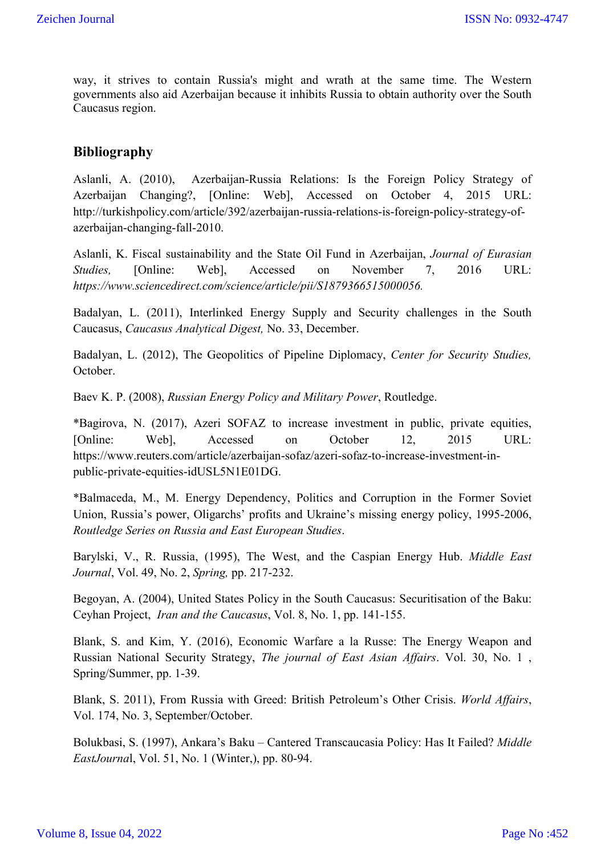way, it strives to contain Russia's might and wrath at the same time. The Western governments also aid Azerbaijan because it inhibits Russia to obtain authority over the South Caucasus region.

## **Bibliography**

Aslanli, A. (2010), Azerbaijan-Russia Relations: Is the Foreign Policy Strategy of Azerbaijan Changing?, [Online: Web], Accessed on October 4, 2015 URL: http://turkishpolicy.com/article/392/azerbaijan-russia-relations-is-foreign-policy-strategy-ofazerbaijan-changing-fall-2010.

Aslanli, K. Fiscal sustainability and the State Oil Fund in Azerbaijan, *Journal of Eurasian Studies,* [Online: Web], Accessed on November 7, 2016 URL: *https://www.sciencedirect.com/science/article/pii/S1879366515000056.*

Badalyan, L. (2011), Interlinked Energy Supply and Security challenges in the South Caucasus, *Caucasus Analytical Digest,* No. 33, December.

Badalyan, L. (2012), The Geopolitics of Pipeline Diplomacy, *Center for Security Studies,*  October.

Baev K. P. (2008), *Russian Energy Policy and Military Power*, Routledge.

\*Bagirova, N. (2017), Azeri SOFAZ to increase investment in public, private equities, [Online: Web], Accessed on October 12, 2015 URL: https://www.reuters.com/article/azerbaijan-sofaz/azeri-sofaz-to-increase-investment-inpublic-private-equities-idUSL5N1E01DG.

\*Balmaceda, M., M. Energy Dependency, Politics and Corruption in the Former Soviet Union, Russia's power, Oligarchs' profits and Ukraine's missing energy policy, 1995-2006, *Routledge Series on Russia and East European Studies*.

Barylski, V., R. Russia, (1995), The West, and the Caspian Energy Hub. *Middle East Journal*, Vol. 49, No. 2, *Spring,* pp. 217-232.

Begoyan, A. (2004), United States Policy in the South Caucasus: Securitisation of the Baku: Ceyhan Project, *Iran and the Caucasus*, Vol. 8, No. 1, pp. 141-155.

Blank, S. and Kim, Y. (2016), Economic Warfare a la Russe: The Energy Weapon and Russian National Security Strategy, *The journal of East Asian Affairs*. Vol. 30, No. 1 , Spring/Summer, pp. 1-39.

Blank, S. 2011), From Russia with Greed: British Petroleum's Other Crisis. *World Affairs*, Vol. 174, No. 3, September/October.

Bolukbasi, S. (1997), Ankara's Baku – Cantered Transcaucasia Policy: Has It Failed? *Middle EastJourna*l, Vol. 51, No. 1 (Winter,), pp. 80-94.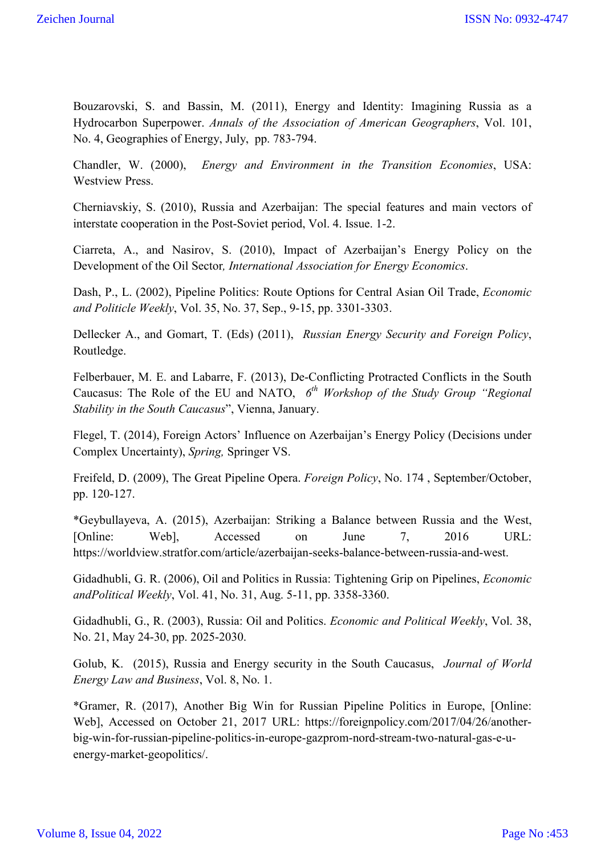Bouzarovski, S. and Bassin, M. (2011), Energy and Identity: Imagining Russia as a Hydrocarbon Superpower. *Annals of the Association of American Geographers*, Vol. 101, No. 4, Geographies of Energy, July, pp. 783-794.

Chandler, W. (2000), *Energy and Environment in the Transition Economies*, USA: Westview Press.

Cherniavskiy, S. (2010), Russia and Azerbaijan: The special features and main vectors of interstate cooperation in the Post-Soviet period, Vol. 4. Issue. 1-2.

Ciarreta, A., and Nasirov, S. (2010), Impact of Azerbaijan's Energy Policy on the Development of the Oil Sector*, International Association for Energy Economics*.

Dash, P., L. (2002), Pipeline Politics: Route Options for Central Asian Oil Trade, *Economic and Politicle Weekly*, Vol. 35, No. 37, Sep., 9-15, pp. 3301-3303.

Dellecker A., and Gomart, T. (Eds) (2011), *Russian Energy Security and Foreign Policy*, Routledge.

Felberbauer, M. E. and Labarre, F. (2013), De-Conflicting Protracted Conflicts in the South Caucasus: The Role of the EU and NATO, *6th Workshop of the Study Group "Regional Stability in the South Caucasus*", Vienna, January.

Flegel, T. (2014), Foreign Actors' Influence on Azerbaijan's Energy Policy (Decisions under Complex Uncertainty), *Spring,* Springer VS.

Freifeld, D. (2009), The Great Pipeline Opera. *Foreign Policy*, No. 174 , September/October, pp. 120-127.

\*Geybullayeva, A. (2015), Azerbaijan: Striking a Balance between Russia and the West, [Online: Web], Accessed on June 7, 2016 URL: https://worldview.stratfor.com/article/azerbaijan-seeks-balance-between-russia-and-west.

Gidadhubli, G. R. (2006), Oil and Politics in Russia: Tightening Grip on Pipelines, *Economic andPolitical Weekly*, Vol. 41, No. 31, Aug. 5-11, pp. 3358-3360.

Gidadhubli, G., R. (2003), Russia: Oil and Politics. *Economic and Political Weekly*, Vol. 38, No. 21, May 24-30, pp. 2025-2030.

Golub, K. (2015), Russia and Energy security in the South Caucasus, *Journal of World Energy Law and Business*, Vol. 8, No. 1.

\*Gramer, R. (2017), Another Big Win for Russian Pipeline Politics in Europe, [Online: Web], Accessed on October 21, 2017 URL: https://foreignpolicy.com/2017/04/26/anotherbig-win-for-russian-pipeline-politics-in-europe-gazprom-nord-stream-two-natural-gas-e-uenergy-market-geopolitics/.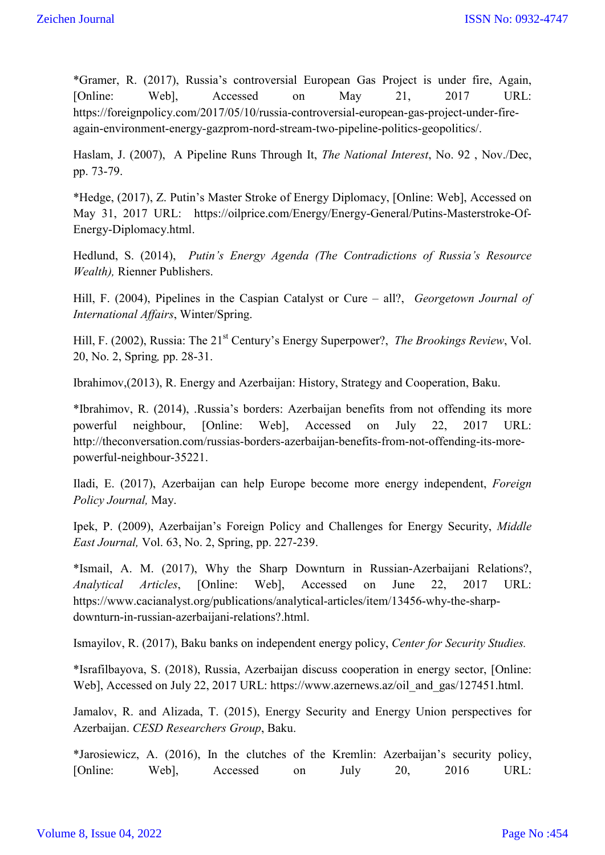\*Gramer, R. (2017), Russia's controversial European Gas Project is under fire, Again, [Online: Web], Accessed on May 21, 2017 URL: https://foreignpolicy.com/2017/05/10/russia-controversial-european-gas-project-under-fireagain-environment-energy-gazprom-nord-stream-two-pipeline-politics-geopolitics/.

Haslam, J. (2007), A Pipeline Runs Through It, *The National Interest*, No. 92 , Nov./Dec, pp. 73-79.

\*Hedge, (2017), Z. Putin's Master Stroke of Energy Diplomacy, [Online: Web], Accessed on May 31, 2017 URL: https://oilprice.com/Energy/Energy-General/Putins-Masterstroke-Of-Energy-Diplomacy.html.

Hedlund, S. (2014), *Putin's Energy Agenda (The Contradictions of Russia's Resource Wealth),* Rienner Publishers.

Hill, F. (2004), Pipelines in the Caspian Catalyst or Cure – all?, *Georgetown Journal of International Affairs*, Winter/Spring.

Hill, F. (2002), Russia: The 21<sup>st</sup> Century's Energy Superpower?, *The Brookings Review*, Vol. 20, No. 2, Spring*,* pp. 28-31.

Ibrahimov,(2013), R. Energy and Azerbaijan: History, Strategy and Cooperation, Baku.

\*Ibrahimov, R. (2014), .Russia's borders: Azerbaijan benefits from not offending its more powerful neighbour, [Online: Web], Accessed on July 22, 2017 URL: http://theconversation.com/russias-borders-azerbaijan-benefits-from-not-offending-its-morepowerful-neighbour-35221.

Iladi, E. (2017), Azerbaijan can help Europe become more energy independent, *Foreign Policy Journal,* May.

Ipek, P. (2009), Azerbaijan's Foreign Policy and Challenges for Energy Security, *Middle East Journal,* Vol. 63, No. 2, Spring, pp. 227-239.

\*Ismail, A. M. (2017), Why the Sharp Downturn in Russian-Azerbaijani Relations?, *Analytical Articles*, [Online: Web], Accessed on June 22, 2017 URL: https://www.cacianalyst.org/publications/analytical-articles/item/13456-why-the-sharpdownturn-in-russian-azerbaijani-relations?.html.

Ismayilov, R. (2017), Baku banks on independent energy policy, *Center for Security Studies.*

\*Israfilbayova, S. (2018), Russia, Azerbaijan discuss cooperation in energy sector, [Online: Web], Accessed on July 22, 2017 URL: https://www.azernews.az/oil\_and\_gas/127451.html.

Jamalov, R. and Alizada, T. (2015), Energy Security and Energy Union perspectives for Azerbaijan. *CESD Researchers Group*, Baku.

\*Jarosiewicz, A. (2016), In the clutches of the Kremlin: Azerbaijan's security policy, [Online: Web], Accessed on July 20, 2016 URL: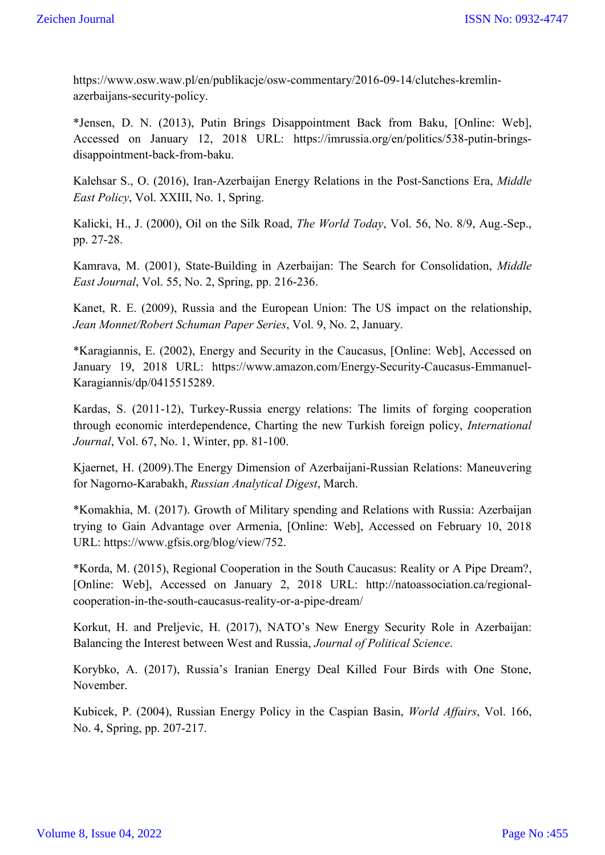https://www.osw.waw.pl/en/publikacje/osw-commentary/2016-09-14/clutches-kremlinazerbaijans-security-policy.

\*Jensen, D. N. (2013), Putin Brings Disappointment Back from Baku, [Online: Web], Accessed on January 12, 2018 URL: https://imrussia.org/en/politics/538-putin-bringsdisappointment-back-from-baku.

Kalehsar S., O. (2016), Iran-Azerbaijan Energy Relations in the Post-Sanctions Era, *Middle East Policy*, Vol. XXIII, No. 1, Spring.

Kalicki, H., J. (2000), Oil on the Silk Road, *The World Today*, Vol. 56, No. 8/9, Aug.-Sep., pp. 27-28.

Kamrava, M. (2001), State-Building in Azerbaijan: The Search for Consolidation, *Middle East Journal*, Vol. 55, No. 2, Spring, pp. 216-236.

Kanet, R. E. (2009), Russia and the European Union: The US impact on the relationship, *Jean Monnet/Robert Schuman Paper Series*, Vol. 9, No. 2, January.

\*Karagiannis, E. (2002), Energy and Security in the Caucasus, [Online: Web], Accessed on January 19, 2018 URL: https://www.amazon.com/Energy-Security-Caucasus-Emmanuel-Karagiannis/dp/0415515289.

Kardas, S. (2011-12), Turkey-Russia energy relations: The limits of forging cooperation through economic interdependence, Charting the new Turkish foreign policy, *International Journal*, Vol. 67, No. 1, Winter, pp. 81-100.

Kjaernet, H. (2009).The Energy Dimension of Azerbaijani-Russian Relations: Maneuvering for Nagorno-Karabakh, *Russian Analytical Digest*, March.

\*Komakhia, M. (2017). Growth of Military spending and Relations with Russia: Azerbaijan trying to Gain Advantage over Armenia, [Online: Web], Accessed on February 10, 2018 URL: https://www.gfsis.org/blog/view/752.

\*Korda, M. (2015), Regional Cooperation in the South Caucasus: Reality or A Pipe Dream?, [Online: Web], Accessed on January 2, 2018 URL: http://natoassociation.ca/regionalcooperation-in-the-south-caucasus-reality-or-a-pipe-dream/

Korkut, H. and Preljevic, H. (2017), NATO's New Energy Security Role in Azerbaijan: Balancing the Interest between West and Russia, *Journal of Political Science*.

Korybko, A. (2017), Russia's Iranian Energy Deal Killed Four Birds with One Stone, November.

Kubicek, P. (2004), Russian Energy Policy in the Caspian Basin, *World Affairs*, Vol. 166, No. 4, Spring, pp. 207-217.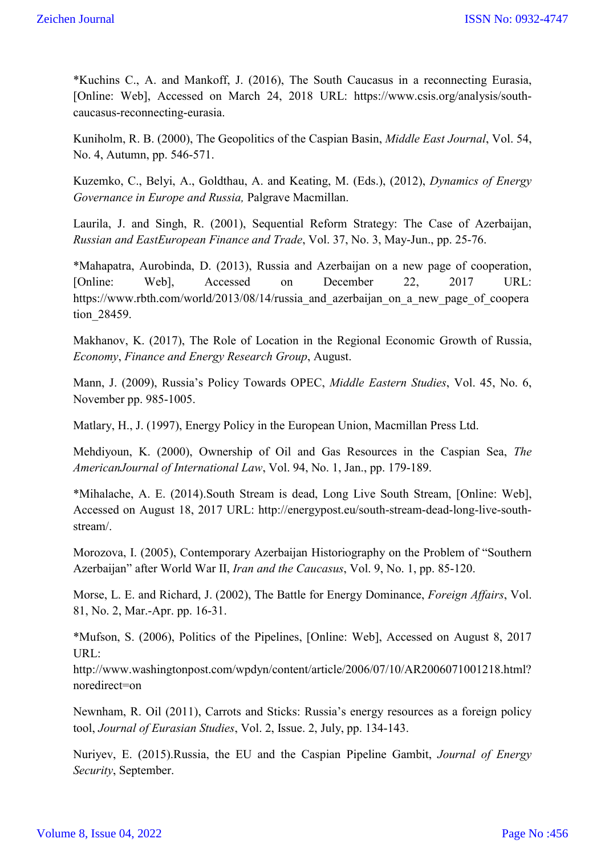\*Kuchins C., A. and Mankoff, J. (2016), The South Caucasus in a reconnecting Eurasia, [Online: Web], Accessed on March 24, 2018 URL: https://www.csis.org/analysis/southcaucasus-reconnecting-eurasia.

Kuniholm, R. B. (2000), The Geopolitics of the Caspian Basin, *Middle East Journal*, Vol. 54, No. 4, Autumn, pp. 546-571.

Kuzemko, C., Belyi, A., Goldthau, A. and Keating, M. (Eds.), (2012), *Dynamics of Energy Governance in Europe and Russia,* Palgrave Macmillan.

Laurila, J. and Singh, R. (2001), Sequential Reform Strategy: The Case of Azerbaijan, *Russian and EastEuropean Finance and Trade*, Vol. 37, No. 3, May-Jun., pp. 25-76.

\*Mahapatra, Aurobinda, D. (2013), Russia and Azerbaijan on a new page of cooperation, [Online: Web], Accessed on December 22, 2017 URL: https://www.rbth.com/world/2013/08/14/russia and azerbaijan on a new page of coopera tion\_28459.

Makhanov, K. (2017), The Role of Location in the Regional Economic Growth of Russia, *Economy*, *Finance and Energy Research Group*, August.

Mann, J. (2009), Russia's Policy Towards OPEC, *Middle Eastern Studies*, Vol. 45, No. 6, November pp. 985-1005.

Matlary, H., J. (1997), Energy Policy in the European Union, Macmillan Press Ltd.

Mehdiyoun, K. (2000), Ownership of Oil and Gas Resources in the Caspian Sea, *The AmericanJournal of International Law*, Vol. 94, No. 1, Jan., pp. 179-189.

\*Mihalache, A. E. (2014).South Stream is dead, Long Live South Stream, [Online: Web], Accessed on August 18, 2017 URL: http://energypost.eu/south-stream-dead-long-live-southstream/.

Morozova, I. (2005), Contemporary Azerbaijan Historiography on the Problem of "Southern Azerbaijan" after World War II, *Iran and the Caucasus*, Vol. 9, No. 1, pp. 85-120.

Morse, L. E. and Richard, J. (2002), The Battle for Energy Dominance, *Foreign Affairs*, Vol. 81, No. 2, Mar.-Apr. pp. 16-31.

\*Mufson, S. (2006), Politics of the Pipelines, [Online: Web], Accessed on August 8, 2017 URL:

http://www.washingtonpost.com/wpdyn/content/article/2006/07/10/AR2006071001218.html? noredirect=on

Newnham, R. Oil (2011), Carrots and Sticks: Russia's energy resources as a foreign policy tool, *Journal of Eurasian Studies*, Vol. 2, Issue. 2, July, pp. 134-143.

Nuriyev, E. (2015).Russia, the EU and the Caspian Pipeline Gambit, *Journal of Energy Security*, September.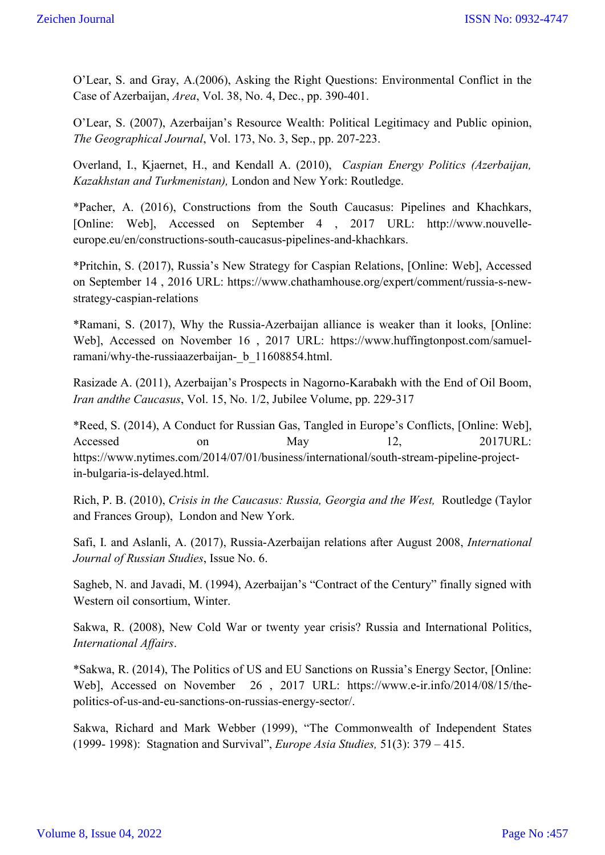O'Lear, S. and Gray, A.(2006), Asking the Right Questions: Environmental Conflict in the Case of Azerbaijan, *Area*, Vol. 38, No. 4, Dec., pp. 390-401.

O'Lear, S. (2007), Azerbaijan's Resource Wealth: Political Legitimacy and Public opinion, *The Geographical Journal*, Vol. 173, No. 3, Sep., pp. 207-223.

Overland, I., Kjaernet, H., and Kendall A. (2010), *Caspian Energy Politics (Azerbaijan, Kazakhstan and Turkmenistan),* London and New York: Routledge.

\*Pacher, A. (2016), Constructions from the South Caucasus: Pipelines and Khachkars, [Online: Web], Accessed on September 4 , 2017 URL: http://www.nouvelleeurope.eu/en/constructions-south-caucasus-pipelines-and-khachkars.

\*Pritchin, S. (2017), Russia's New Strategy for Caspian Relations, [Online: Web], Accessed on September 14 , 2016 URL: https://www.chathamhouse.org/expert/comment/russia-s-newstrategy-caspian-relations

\*Ramani, S. (2017), Why the Russia-Azerbaijan alliance is weaker than it looks, [Online: Web], Accessed on November 16 , 2017 URL: https://www.huffingtonpost.com/samuelramani/why-the-russiaazerbaijan- b 11608854.html.

Rasizade A. (2011), Azerbaijan's Prospects in Nagorno-Karabakh with the End of Oil Boom, *Iran andthe Caucasus*, Vol. 15, No. 1/2, Jubilee Volume, pp. 229-317

\*Reed, S. (2014), A Conduct for Russian Gas, Tangled in Europe's Conflicts, [Online: Web], Accessed on May 12, 2017URL: https://www.nytimes.com/2014/07/01/business/international/south-stream-pipeline-projectin-bulgaria-is-delayed.html.

Rich, P. B. (2010), *Crisis in the Caucasus: Russia, Georgia and the West,* Routledge (Taylor and Frances Group), London and New York.

Safi, I. and Aslanli, A. (2017), Russia-Azerbaijan relations after August 2008, *International Journal of Russian Studies*, Issue No. 6.

Sagheb, N. and Javadi, M. (1994), Azerbaijan's "Contract of the Century" finally signed with Western oil consortium, Winter.

Sakwa, R. (2008), New Cold War or twenty year crisis? Russia and International Politics, *International Affairs*.

\*Sakwa, R. (2014), The Politics of US and EU Sanctions on Russia's Energy Sector, [Online: Web], Accessed on November 26 , 2017 URL: https://www.e-ir.info/2014/08/15/thepolitics-of-us-and-eu-sanctions-on-russias-energy-sector/.

Sakwa, Richard and Mark Webber (1999), "The Commonwealth of Independent States (1999- 1998): Stagnation and Survival", *Europe Asia Studies,* 51(3): 379 – 415.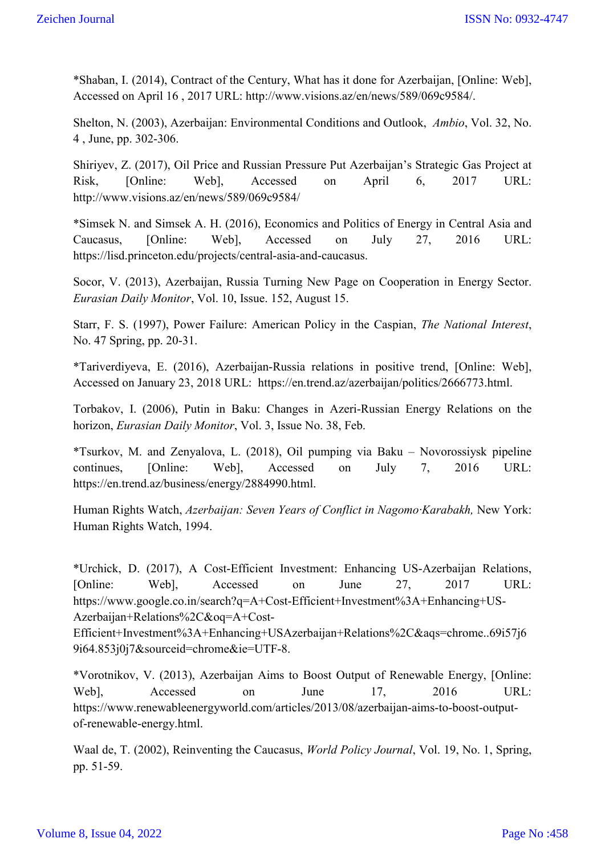\*Shaban, I. (2014), Contract of the Century, What has it done for Azerbaijan, [Online: Web], Accessed on April 16 , 2017 URL: http://www.visions.az/en/news/589/069c9584/.

Shelton, N. (2003), Azerbaijan: Environmental Conditions and Outlook, *Ambio*, Vol. 32, No. 4 , June, pp. 302-306.

Shiriyev, Z. (2017), Oil Price and Russian Pressure Put Azerbaijan's Strategic Gas Project at Risk, [Online: Web], Accessed on April 6, 2017 URL: http://www.visions.az/en/news/589/069c9584/

\*Simsek N. and Simsek A. H. (2016), Economics and Politics of Energy in Central Asia and Caucasus, [Online: Web], Accessed on July 27, 2016 URL: https://lisd.princeton.edu/projects/central-asia-and-caucasus.

Socor, V. (2013), Azerbaijan, Russia Turning New Page on Cooperation in Energy Sector. *Eurasian Daily Monitor*, Vol. 10, Issue. 152, August 15.

Starr, F. S. (1997), Power Failure: American Policy in the Caspian, *The National Interest*, No. 47 Spring, pp. 20-31.

\*Tariverdiyeva, E. (2016), Azerbaijan-Russia relations in positive trend, [Online: Web], Accessed on January 23, 2018 URL: https://en.trend.az/azerbaijan/politics/2666773.html.

Torbakov, I. (2006), Putin in Baku: Changes in Azeri-Russian Energy Relations on the horizon, *Eurasian Daily Monitor*, Vol. 3, Issue No. 38, Feb.

\*Tsurkov, M. and Zenyalova, L. (2018), Oil pumping via Baku – Novorossiysk pipeline continues, [Online: Web], Accessed on July 7, 2016 URL: https://en.trend.az/business/energy/2884990.html.

Human Rights Watch, *Azerbaijan: Seven Years of Conflict in Nagomo·Karabakh,* New York: Human Rights Watch, 1994.

\*Urchick, D. (2017), A Cost-Efficient Investment: Enhancing US-Azerbaijan Relations, [Online: Web], Accessed on June 27, 2017 URL: https://www.google.co.in/search?q=A+Cost-Efficient+Investment%3A+Enhancing+US-Azerbaijan+Relations%2C&oq=A+Cost-

Efficient+Investment%3A+Enhancing+USAzerbaijan+Relations%2C&aqs=chrome..69i57j6 9i64.853j0j7&sourceid=chrome&ie=UTF-8.

\*Vorotnikov, V. (2013), Azerbaijan Aims to Boost Output of Renewable Energy, [Online: Web], Accessed on June 17, 2016 URL: https://www.renewableenergyworld.com/articles/2013/08/azerbaijan-aims-to-boost-outputof-renewable-energy.html.

Waal de, T. (2002), Reinventing the Caucasus, *World Policy Journal*, Vol. 19, No. 1, Spring, pp. 51-59.